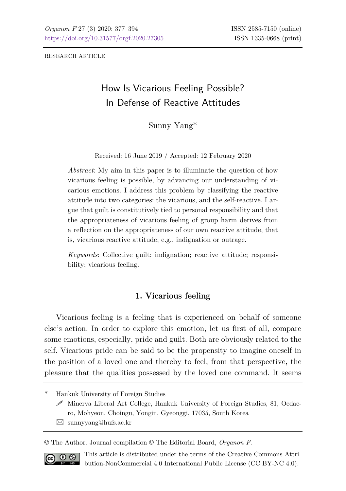RESEARCH ARTICLE

# How Is Vicarious Feeling Possible? In Defense of Reactive Attitudes

Sunny Yang\*

Received: 16 June 2019 / Accepted: 12 February 2020

*Abstract*: My aim in this paper is to illuminate the question of how vicarious feeling is possible, by advancing our understanding of vicarious emotions. I address this problem by classifying the reactive attitude into two categories: the vicarious, and the self-reactive. I argue that guilt is constitutively tied to personal responsibility and that the appropriateness of vicarious feeling of group harm derives from a reflection on the appropriateness of our own reactive attitude, that is, vicarious reactive attitude, e.g., indignation or outrage.

*Keywords*: Collective guilt; indignation; reactive attitude; responsibility; vicarious feeling.

## **1. Vicarious feeling**

Vicarious feeling is a feeling that is experienced on behalf of someone else's action. In order to explore this emotion, let us first of all, compare some emotions, especially, pride and guilt. Both are obviously related to the self. Vicarious pride can be said to be the propensity to imagine oneself in the position of a loved one and thereby to feel, from that perspective, the pleasure that the qualities possessed by the loved one command. It seems

\* Hankuk University of Foreign Studies

- $\mathscr S$  Minerva Liberal Art College, Hankuk University of Foreign Studies, 81, Oedaero, Mohyeon, Choingu, Yongin, Gyeonggi, 17035, South Korea
- $\boxtimes$  sunnyyang@hufs.ac.kr

© The Author. Journal compilation © The Editorial Board, *Organon F*.



This article is distributed under the terms of the Creative Commons Attribution-NonCommercial 4.0 International Public License (CC BY-NC 4.0).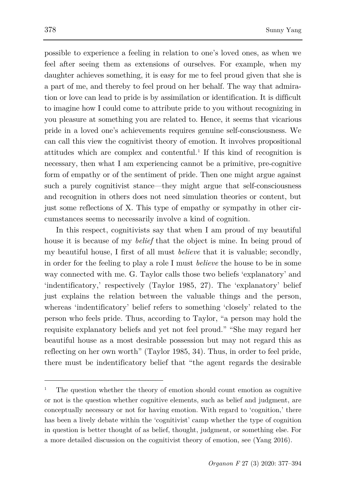possible to experience a feeling in relation to one's loved ones, as when we feel after seeing them as extensions of ourselves. For example, when my daughter achieves something, it is easy for me to feel proud given that she is a part of me, and thereby to feel proud on her behalf. The way that admiration or love can lead to pride is by assimilation or identification. It is difficult to imagine how I could come to attribute pride to you without recognizing in you pleasure at something you are related to. Hence, it seems that vicarious pride in a loved one's achievements requires genuine self-consciousness. We can call this view the cognitivist theory of emotion. It involves propositional attitudes which are complex and contentful.<sup>[1](#page-1-0)</sup> If this kind of recognition is necessary, then what I am experiencing cannot be a primitive, pre-cognitive form of empathy or of the sentiment of pride. Then one might argue against such a purely cognitivist stance—they might argue that self-consciousness and recognition in others does not need simulation theories or content, but just some reflections of X. This type of empathy or sympathy in other circumstances seems to necessarily involve a kind of cognition.

In this respect, cognitivists say that when I am proud of my beautiful house it is because of my *belief* that the object is mine. In being proud of my beautiful house, I first of all must *believe* that it is valuable; secondly, in order for the feeling to play a role I must *believe* the house to be in some way connected with me. G. Taylor calls those two beliefs 'explanatory' and 'indentificatory,' respectively (Taylor 1985, 27). The 'explanatory' belief just explains the relation between the valuable things and the person, whereas 'indentificatory' belief refers to something 'closely' related to the person who feels pride. Thus, according to Taylor, "a person may hold the requisite explanatory beliefs and yet not feel proud." "She may regard her beautiful house as a most desirable possession but may not regard this as reflecting on her own worth" (Taylor 1985, 34). Thus, in order to feel pride, there must be indentificatory belief that "the agent regards the desirable

<span id="page-1-0"></span><sup>1</sup> The question whether the theory of emotion should count emotion as cognitive or not is the question whether cognitive elements, such as belief and judgment, are conceptually necessary or not for having emotion. With regard to 'cognition,' there has been a lively debate within the 'cognitivist' camp whether the type of cognition in question is better thought of as belief, thought, judgment, or something else. For a more detailed discussion on the cognitivist theory of emotion, see (Yang 2016).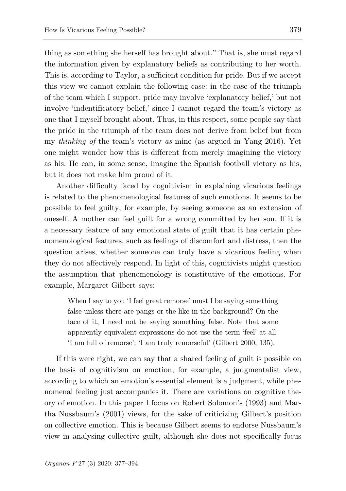thing as something she herself has brought about." That is, she must regard the information given by explanatory beliefs as contributing to her worth. This is, according to Taylor, a sufficient condition for pride. But if we accept this view we cannot explain the following case: in the case of the triumph of the team which I support, pride may involve 'explanatory belief,' but not involve 'indentificatory belief,' since I cannot regard the team's victory as one that I myself brought about. Thus, in this respect, some people say that the pride in the triumph of the team does not derive from belief but from my *thinking of* the team's victory *as* mine (as argued in Yang 2016). Yet one might wonder how this is different from merely imagining the victory as his. He can, in some sense, imagine the Spanish football victory as his, but it does not make him proud of it.

Another difficulty faced by cognitivism in explaining vicarious feelings is related to the phenomenological features of such emotions. It seems to be possible to feel guilty, for example, by seeing someone as an extension of oneself. A mother can feel guilt for a wrong committed by her son. If it is a necessary feature of any emotional state of guilt that it has certain phenomenological features, such as feelings of discomfort and distress, then the question arises, whether someone can truly have a vicarious feeling when they do not affectively respond. In light of this, cognitivists might question the assumption that phenomenology is constitutive of the emotions. For example, Margaret Gilbert says:

When I say to you 'I feel great remorse' must I be saying something false unless there are pangs or the like in the background? On the face of it, I need not be saying something false. Note that some apparently equivalent expressions do not use the term 'feel' at all: 'I am full of remorse'; 'I am truly remorseful' (Gilbert 2000, 135).

If this were right, we can say that a shared feeling of guilt is possible on the basis of cognitivism on emotion, for example, a judgmentalist view, according to which an emotion's essential element is a judgment, while phenomenal feeling just accompanies it. There are variations on cognitive theory of emotion. In this paper I focus on Robert Solomon's (1993) and Martha Nussbaum's (2001) views, for the sake of criticizing Gilbert's position on collective emotion. This is because Gilbert seems to endorse Nussbaum's view in analysing collective guilt, although she does not specifically focus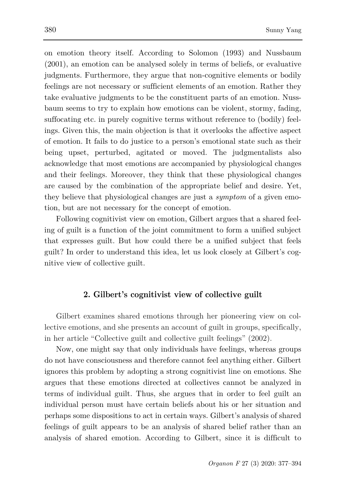on emotion theory itself. According to Solomon (1993) and Nussbaum (2001), an emotion can be analysed solely in terms of beliefs, or evaluative judgments. Furthermore, they argue that non-cognitive elements or bodily feelings are not necessary or sufficient elements of an emotion. Rather they take evaluative judgments to be the constituent parts of an emotion. Nussbaum seems to try to explain how emotions can be violent, stormy, fading, suffocating etc. in purely cognitive terms without reference to (bodily) feelings. Given this, the main objection is that it overlooks the affective aspect of emotion. It fails to do justice to a person's emotional state such as their being upset, perturbed, agitated or moved. The judgmentalists also acknowledge that most emotions are accompanied by physiological changes and their feelings. Moreover, they think that these physiological changes are caused by the combination of the appropriate belief and desire. Yet, they believe that physiological changes are just a *symptom* of a given emotion, but are not necessary for the concept of emotion.

Following cognitivist view on emotion, Gilbert argues that a shared feeling of guilt is a function of the joint commitment to form a unified subject that expresses guilt. But how could there be a unified subject that feels guilt? In order to understand this idea, let us look closely at Gilbert's cognitive view of collective guilt.

## **2. Gilbert's cognitivist view of collective guilt**

Gilbert examines shared emotions through her pioneering view on collective emotions, and she presents an account of guilt in groups, specifically, in her article "Collective guilt and collective guilt feelings" (2002).

Now, one might say that only individuals have feelings, whereas groups do not have consciousness and therefore cannot feel anything either. Gilbert ignores this problem by adopting a strong cognitivist line on emotions. She argues that these emotions directed at collectives cannot be analyzed in terms of individual guilt. Thus, she argues that in order to feel guilt an individual person must have certain beliefs about his or her situation and perhaps some dispositions to act in certain ways. Gilbert's analysis of shared feelings of guilt appears to be an analysis of shared belief rather than an analysis of shared emotion. According to Gilbert, since it is difficult to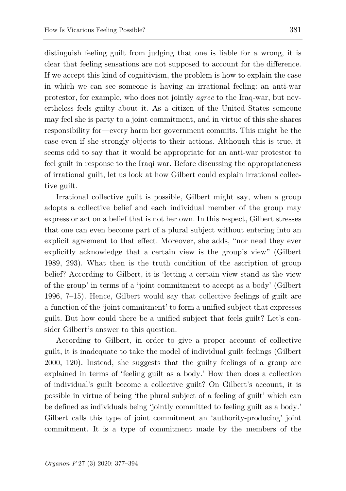distinguish feeling guilt from judging that one is liable for a wrong, it is clear that feeling sensations are not supposed to account for the difference. If we accept this kind of cognitivism, the problem is how to explain the case in which we can see someone is having an irrational feeling: an anti-war protestor, for example, who does not jointly *agree* to the Iraq-war, but nevertheless feels guilty about it. As a citizen of the United States someone may feel she is party to a joint commitment, and in virtue of this she shares responsibility for—every harm her government commits. This might be the case even if she strongly objects to their actions. Although this is true, it seems odd to say that it would be appropriate for an anti-war protestor to feel guilt in response to the Iraqi war. Before discussing the appropriateness of irrational guilt, let us look at how Gilbert could explain irrational collective guilt.

Irrational collective guilt is possible, Gilbert might say, when a group adopts a collective belief and each individual member of the group may express or act on a belief that is not her own. In this respect, Gilbert stresses that one can even become part of a plural subject without entering into an explicit agreement to that effect. Moreover, she adds, "nor need they ever explicitly acknowledge that a certain view is the group's view" (Gilbert 1989, 293). What then is the truth condition of the ascription of group belief? According to Gilbert, it is 'letting a certain view stand as the view of the group' in terms of a 'joint commitment to accept as a body' (Gilbert 1996, 7–15). Hence, Gilbert would say that collective feelings of guilt are a function of the 'joint commitment' to form a unified subject that expresses guilt. But how could there be a unified subject that feels guilt? Let's consider Gilbert's answer to this question.

According to Gilbert, in order to give a proper account of collective guilt, it is inadequate to take the model of individual guilt feelings (Gilbert 2000, 120). Instead, she suggests that the guilty feelings of a group are explained in terms of 'feeling guilt as a body.' How then does a collection of individual's guilt become a collective guilt? On Gilbert's account, it is possible in virtue of being 'the plural subject of a feeling of guilt' which can be defined as individuals being 'jointly committed to feeling guilt as a body.' Gilbert calls this type of joint commitment an 'authority-producing' joint commitment. It is a type of commitment made by the members of the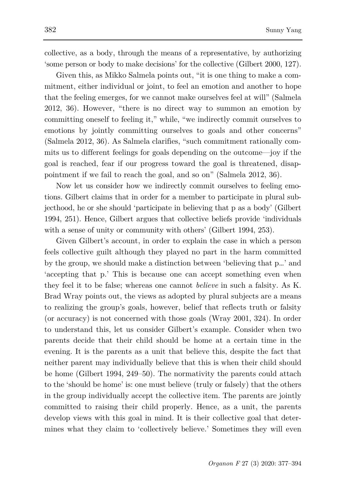collective, as a body, through the means of a representative, by authorizing 'some person or body to make decisions' for the collective (Gilbert 2000, 127).

Given this, as Mikko Salmela points out, "it is one thing to make a commitment, either individual or joint, to feel an emotion and another to hope that the feeling emerges, for we cannot make ourselves feel at will" (Salmela 2012, 36). However, "there is no direct way to summon an emotion by committing oneself to feeling it," while, "we indirectly commit ourselves to emotions by jointly committing ourselves to goals and other concerns" (Salmela 2012, 36). As Salmela clarifies, "such commitment rationally commits us to different feelings for goals depending on the outcome—joy if the goal is reached, fear if our progress toward the goal is threatened, disappointment if we fail to reach the goal, and so on" (Salmela 2012, 36).

Now let us consider how we indirectly commit ourselves to feeling emotions. Gilbert claims that in order for a member to participate in plural subjecthood, he or she should 'participate in believing that p as a body' (Gilbert 1994, 251). Hence, Gilbert argues that collective beliefs provide 'individuals with a sense of unity or community with others' (Gilbert 1994, 253).

Given Gilbert's account, in order to explain the case in which a person feels collective guilt although they played no part in the harm committed by the group, we should make a distinction between 'believing that p…' and 'accepting that p.' This is because one can accept something even when they feel it to be false; whereas one cannot *believe* in such a falsity. As K. Brad Wray points out, the views as adopted by plural subjects are a means to realizing the group's goals, however, belief that reflects truth or falsity (or accuracy) is not concerned with those goals (Wray 2001, 324). In order to understand this, let us consider Gilbert's example. Consider when two parents decide that their child should be home at a certain time in the evening. It is the parents as a unit that believe this, despite the fact that neither parent may individually believe that this is when their child should be home (Gilbert 1994, 249–50). The normativity the parents could attach to the 'should be home' is: one must believe (truly or falsely) that the others in the group individually accept the collective item. The parents are jointly committed to raising their child properly. Hence, as a unit, the parents develop views with this goal in mind. It is their collective goal that determines what they claim to 'collectively believe.' Sometimes they will even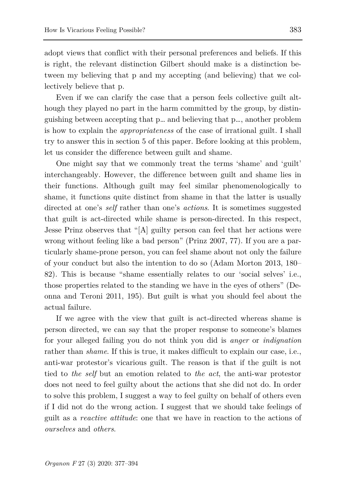adopt views that conflict with their personal preferences and beliefs. If this is right, the relevant distinction Gilbert should make is a distinction between my believing that p and my accepting (and believing) that we collectively believe that p.

Even if we can clarify the case that a person feels collective guilt although they played no part in the harm committed by the group, by distinguishing between accepting that p… and believing that p…, another problem is how to explain the *appropriateness* of the case of irrational guilt. I shall try to answer this in section 5 of this paper. Before looking at this problem, let us consider the difference between guilt and shame.

One might say that we commonly treat the terms 'shame' and 'guilt' interchangeably. However, the difference between guilt and shame lies in their functions. Although guilt may feel similar phenomenologically to shame, it functions quite distinct from shame in that the latter is usually directed at one's *self* rather than one's *actions*. It is sometimes suggested that guilt is act-directed while shame is person-directed. In this respect, Jesse Prinz observes that "[A] guilty person can feel that her actions were wrong without feeling like a bad person" (Prinz 2007, 77). If you are a particularly shame-prone person, you can feel shame about not only the failure of your conduct but also the intention to do so (Adam Morton 2013, 180– 82). This is because "shame essentially relates to our 'social selves' i.e., those properties related to the standing we have in the eyes of others" (Deonna and Teroni 2011, 195). But guilt is what you should feel about the actual failure.

If we agree with the view that guilt is act-directed whereas shame is person directed, we can say that the proper response to someone's blames for your alleged failing you do not think you did is *anger* or *indignation*  rather than *shame*. If this is true, it makes difficult to explain our case, i.e., anti-war protestor's vicarious guilt. The reason is that if the guilt is not tied to *the self* but an emotion related to *the act*, the anti-war protestor does not need to feel guilty about the actions that she did not do. In order to solve this problem, I suggest a way to feel guilty on behalf of others even if I did not do the wrong action. I suggest that we should take feelings of guilt as a *reactive attitude*: one that we have in reaction to the actions of *ourselves* and *others*.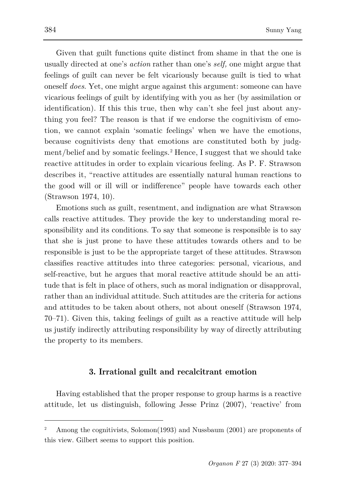Given that guilt functions quite distinct from shame in that the one is usually directed at one's *action* rather than one's *self,* one might argue that feelings of guilt can never be felt vicariously because guilt is tied to what oneself *does*. Yet, one might argue against this argument: someone can have vicarious feelings of guilt by identifying with you as her (by assimilation or identification). If this this true, then why can't she feel just about anything you feel? The reason is that if we endorse the cognitivism of emotion, we cannot explain 'somatic feelings' when we have the emotions, because cognitivists deny that emotions are constituted both by judg-ment/belief and by somatic feelings.<sup>[2](#page-7-0)</sup> Hence, I suggest that we should take reactive attitudes in order to explain vicarious feeling. As P. F. Strawson describes it, "reactive attitudes are essentially natural human reactions to the good will or ill will or indifference" people have towards each other (Strawson 1974, 10).

Emotions such as guilt, resentment, and indignation are what Strawson calls reactive attitudes. They provide the key to understanding moral responsibility and its conditions. To say that someone is responsible is to say that she is just prone to have these attitudes towards others and to be responsible is just to be the appropriate target of these attitudes. Strawson classifies reactive attitudes into three categories: personal, vicarious, and self-reactive, but he argues that moral reactive attitude should be an attitude that is felt in place of others, such as moral indignation or disapproval, rather than an individual attitude. Such attitudes are the criteria for actions and attitudes to be taken about others, not about oneself (Strawson 1974, 70–71). Given this, taking feelings of guilt as a reactive attitude will help us justify indirectly attributing responsibility by way of directly attributing the property to its members.

#### **3. Irrational guilt and recalcitrant emotion**

Having established that the proper response to group harms is a reactive attitude, let us distinguish, following Jesse Prinz (2007), 'reactive' from

<span id="page-7-0"></span>Among the cognitivists, Solomon(1993) and Nussbaum (2001) are proponents of this view. Gilbert seems to support this position.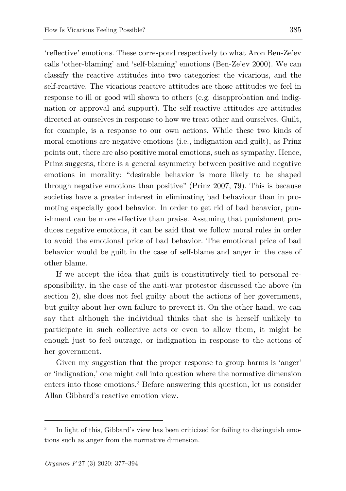'reflective' emotions. These correspond respectively to what Aron Ben-Ze'ev calls 'other-blaming' and 'self-blaming' emotions (Ben-Ze'ev 2000). We can classify the reactive attitudes into two categories: the vicarious, and the self-reactive. The vicarious reactive attitudes are those attitudes we feel in response to ill or good will shown to others (e.g. disapprobation and indignation or approval and support). The self-reactive attitudes are attitudes directed at ourselves in response to how we treat other and ourselves. Guilt, for example, is a response to our own actions. While these two kinds of moral emotions are negative emotions (i.e., indignation and guilt), as Prinz points out, there are also positive moral emotions, such as sympathy. Hence, Prinz suggests, there is a general asymmetry between positive and negative emotions in morality: "desirable behavior is more likely to be shaped through negative emotions than positive" (Prinz 2007, 79). This is because societies have a greater interest in eliminating bad behaviour than in promoting especially good behavior. In order to get rid of bad behavior, punishment can be more effective than praise. Assuming that punishment produces negative emotions, it can be said that we follow moral rules in order to avoid the emotional price of bad behavior. The emotional price of bad behavior would be guilt in the case of self-blame and anger in the case of other blame.

If we accept the idea that guilt is constitutively tied to personal responsibility, in the case of the anti-war protestor discussed the above (in section 2), she does not feel guilty about the actions of her government, but guilty about her own failure to prevent it. On the other hand, we can say that although the individual thinks that she is herself unlikely to participate in such collective acts or even to allow them, it might be enough just to feel outrage, or indignation in response to the actions of her government.

Given my suggestion that the proper response to group harms is 'anger' or 'indignation,' one might call into question where the normative dimension enters into those emotions.<sup>[3](#page-8-0)</sup> Before answering this question, let us consider Allan Gibbard's reactive emotion view.

<span id="page-8-0"></span>In light of this, Gibbard's view has been criticized for failing to distinguish emotions such as anger from the normative dimension.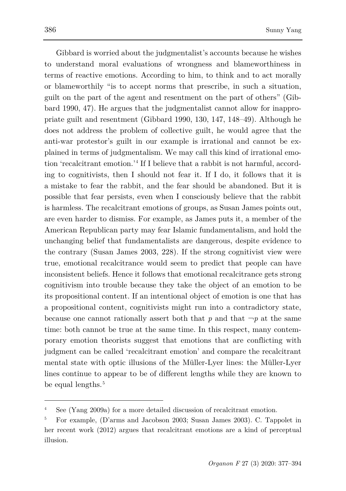l

Gibbard is worried about the judgmentalist's accounts because he wishes to understand moral evaluations of wrongness and blameworthiness in terms of reactive emotions. According to him, to think and to act morally or blameworthily "is to accept norms that prescribe, in such a situation, guilt on the part of the agent and resentment on the part of others" (Gibbard 1990, 47). He argues that the judgmentalist cannot allow for inappropriate guilt and resentment (Gibbard 1990, 130, 147, 148–49). Although he does not address the problem of collective guilt, he would agree that the anti-war protestor's guilt in our example is irrational and cannot be explained in terms of judgmentalism. We may call this kind of irrational emotion 'recalcitrant emotion.' [4](#page-9-0) If I believe that a rabbit is not harmful, according to cognitivists, then I should not fear it. If I do, it follows that it is a mistake to fear the rabbit, and the fear should be abandoned. But it is possible that fear persists, even when I consciously believe that the rabbit is harmless. The recalcitrant emotions of groups, as Susan James points out, are even harder to dismiss. For example, as James puts it, a member of the American Republican party may fear Islamic fundamentalism, and hold the unchanging belief that fundamentalists are dangerous, despite evidence to the contrary (Susan James 2003, 228). If the strong cognitivist view were true, emotional recalcitrance would seem to predict that people can have inconsistent beliefs. Hence it follows that emotional recalcitrance gets strong cognitivism into trouble because they take the object of an emotion to be its propositional content. If an intentional object of emotion is one that has a propositional content, cognitivists might run into a contradictory state, because one cannot rationally assert both that  $p$  and that  $\neg p$  at the same time: both cannot be true at the same time. In this respect, many contemporary emotion theorists suggest that emotions that are conflicting with judgment can be called 'recalcitrant emotion' and compare the recalcitrant mental state with optic illusions of the Müller-Lyer lines: the Müller-Lyer lines continue to appear to be of different lengths while they are known to be equal lengths.<sup>[5](#page-9-1)</sup>

<span id="page-9-0"></span>See (Yang 2009a) for a more detailed discussion of recalcitrant emotion.

<span id="page-9-1"></span><sup>5</sup> For example, (D'arms and Jacobson 2003; Susan James 2003). C. Tappolet in her recent work (2012) argues that recalcitrant emotions are a kind of perceptual illusion.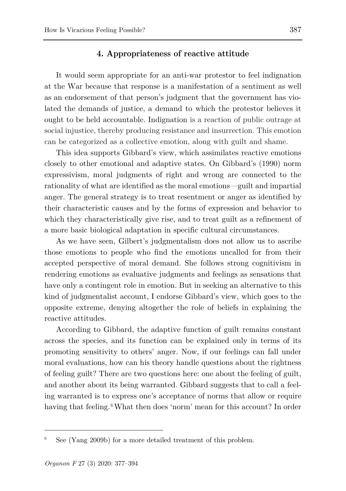## **4. Appropriateness of reactive attitude**

It would seem appropriate for an anti-war protestor to feel indignation at the War because that response is a manifestation of a sentiment as well as an endorsement of that person's judgment that the government has violated the demands of justice, a demand to which the protestor believes it ought to be held accountable. Indignation is a reaction of public outrage at social injustice, thereby producing resistance and insurrection. This emotion can be categorized as a collective emotion, along with guilt and shame.

This idea supports Gibbard's view, which assimilates reactive emotions closely to other emotional and adaptive states. On Gibbard's (1990) norm expressivism, moral judgments of right and wrong are connected to the rationality of what are identified as the moral emotions—guilt and impartial anger. The general strategy is to treat resentment or anger as identified by their characteristic causes and by the forms of expression and behavior to which they characteristically give rise, and to treat guilt as a refinement of a more basic biological adaptation in specific cultural circumstances.

As we have seen, Gilbert's judgmentalism does not allow us to ascribe those emotions to people who find the emotions uncalled for from their accepted perspective of moral demand. She follows strong cognitivism in rendering emotions as evaluative judgments and feelings as sensations that have only a contingent role in emotion. But in seeking an alternative to this kind of judgmentalist account, I endorse Gibbard's view, which goes to the opposite extreme, denying altogether the role of beliefs in explaining the reactive attitudes.

According to Gibbard, the adaptive function of guilt remains constant across the species, and its function can be explained only in terms of its promoting sensitivity to others' anger. Now, if our feelings can fall under moral evaluations, how can his theory handle questions about the rightness of feeling guilt? There are two questions here: one about the feeling of guilt, and another about its being warranted. Gibbard suggests that to call a feeling warranted is to express one's acceptance of norms that allow or require having that feeling. <sup>[6](#page-10-0)</sup> What then does 'norm' mean for this account? In order

<span id="page-10-0"></span>See (Yang 2009b) for a more detailed treatment of this problem.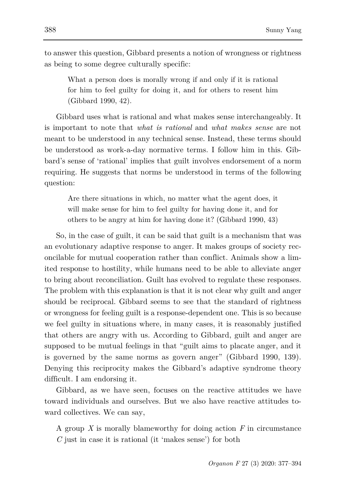to answer this question, Gibbard presents a notion of wrongness or rightness as being to some degree culturally specific:

What a person does is morally wrong if and only if it is rational for him to feel guilty for doing it, and for others to resent him (Gibbard 1990, 42).

Gibbard uses what is rational and what makes sense interchangeably. It is important to note that *what is rational* and *what makes sense* are not meant to be understood in any technical sense. Instead, these terms should be understood as work-a-day normative terms. I follow him in this. Gibbard's sense of 'rational' implies that guilt involves endorsement of a norm requiring. He suggests that norms be understood in terms of the following question:

Are there situations in which, no matter what the agent does, it will make sense for him to feel guilty for having done it, and for others to be angry at him for having done it? (Gibbard 1990, 43)

So, in the case of guilt, it can be said that guilt is a mechanism that was an evolutionary adaptive response to anger. It makes groups of society reconcilable for mutual cooperation rather than conflict. Animals show a limited response to hostility, while humans need to be able to alleviate anger to bring about reconciliation. Guilt has evolved to regulate these responses. The problem with this explanation is that it is not clear why guilt and anger should be reciprocal. Gibbard seems to see that the standard of rightness or wrongness for feeling guilt is a response-dependent one. This is so because we feel guilty in situations where, in many cases, it is reasonably justified that others are angry with us. According to Gibbard, guilt and anger are supposed to be mutual feelings in that "guilt aims to placate anger, and it is governed by the same norms as govern anger" (Gibbard 1990, 139). Denying this reciprocity makes the Gibbard's adaptive syndrome theory difficult. I am endorsing it.

Gibbard, as we have seen, focuses on the reactive attitudes we have toward individuals and ourselves. But we also have reactive attitudes toward collectives. We can say,

A group *X* is morally blameworthy for doing action *F* in circumstance *C* just in case it is rational (it 'makes sense') for both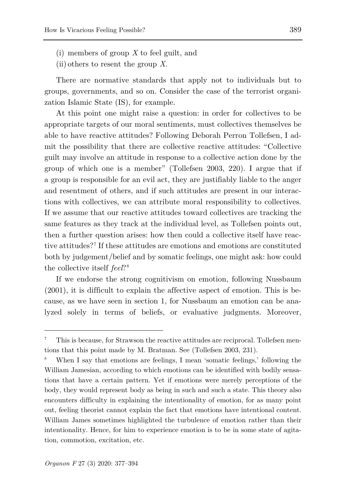- (i) members of group *X* to feel guilt, and
- (ii) others to resent the group *X*.

There are normative standards that apply not to individuals but to groups, governments, and so on. Consider the case of the terrorist organization Islamic State (IS), for example.

At this point one might raise a question: in order for collectives to be appropriate targets of our moral sentiments, must collectives themselves be able to have reactive attitudes? Following Deborah Perron Tollefsen, I admit the possibility that there are collective reactive attitudes: "Collective guilt may involve an attitude in response to a collective action done by the group of which one is a member" (Tollefsen 2003, 220). I argue that if a group is responsible for an evil act, they are justifiably liable to the anger and resentment of others, and if such attitudes are present in our interactions with collectives, we can attribute moral responsibility to collectives. If we assume that our reactive attitudes toward collectives are tracking the same features as they track at the individual level, as Tollefsen points out, then a further question arises: how then could a collective itself have reactive attitudes?[7](#page-12-0) If these attitudes are emotions and emotions are constituted both by judgement/belief and by somatic feelings, one might ask: how could the collective itself *feel*?[8](#page-12-1)

If we endorse the strong cognitivism on emotion, following Nussbaum (2001), it is difficult to explain the affective aspect of emotion. This is because, as we have seen in section 1, for Nussbaum an emotion can be analyzed solely in terms of beliefs, or evaluative judgments. Moreover,

ł

<span id="page-12-0"></span><sup>7</sup> This is because, for Strawson the reactive attitudes are reciprocal. Tollefsen mentions that this point made by M. Bratman. See (Tollefsen 2003, 231).

<span id="page-12-1"></span>When I say that emotions are feelings, I mean 'somatic feelings,' following the William Jamesian, according to which emotions can be identified with bodily sensations that have a certain pattern. Yet if emotions were merely perceptions of the body, they would represent body as being in such and such a state. This theory also encounters difficulty in explaining the intentionality of emotion, for as many point out, feeling theorist cannot explain the fact that emotions have intentional content. William James sometimes highlighted the turbulence of emotion rather than their intentionality. Hence, for him to experience emotion is to be in some state of agitation, commotion, excitation, etc.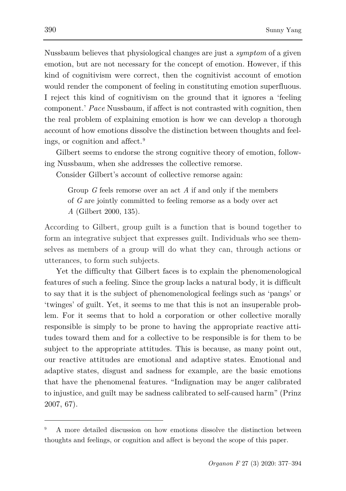Nussbaum believes that physiological changes are just a *symptom* of a given emotion, but are not necessary for the concept of emotion. However, if this kind of cognitivism were correct, then the cognitivist account of emotion would render the component of feeling in constituting emotion superfluous. I reject this kind of cognitivism on the ground that it ignores a 'feeling component.' *Pace* Nussbaum, if affect is not contrasted with cognition, then the real problem of explaining emotion is how we can develop a thorough account of how emotions dissolve the distinction between thoughts and feelings, or cognition and affect.[9](#page-13-0)

Gilbert seems to endorse the strong cognitive theory of emotion, following Nussbaum, when she addresses the collective remorse.

Consider Gilbert's account of collective remorse again:

Group *G* feels remorse over an act *A* if and only if the members of *G* are jointly committed to feeling remorse as a body over act *A* (Gilbert 2000, 135).

According to Gilbert, group guilt is a function that is bound together to form an integrative subject that expresses guilt. Individuals who see themselves as members of a group will do what they can, through actions or utterances, to form such subjects.

Yet the difficulty that Gilbert faces is to explain the phenomenological features of such a feeling. Since the group lacks a natural body, it is difficult to say that it is the subject of phenomenological feelings such as 'pangs' or 'twinges' of guilt. Yet, it seems to me that this is not an insuperable problem. For it seems that to hold a corporation or other collective morally responsible is simply to be prone to having the appropriate reactive attitudes toward them and for a collective to be responsible is for them to be subject to the appropriate attitudes. This is because, as many point out, our reactive attitudes are emotional and adaptive states. Emotional and adaptive states, disgust and sadness for example, are the basic emotions that have the phenomenal features. "Indignation may be anger calibrated to injustice, and guilt may be sadness calibrated to self-caused harm" (Prinz 2007, 67).

<span id="page-13-0"></span><sup>9</sup> A more detailed discussion on how emotions dissolve the distinction between thoughts and feelings, or cognition and affect is beyond the scope of this paper.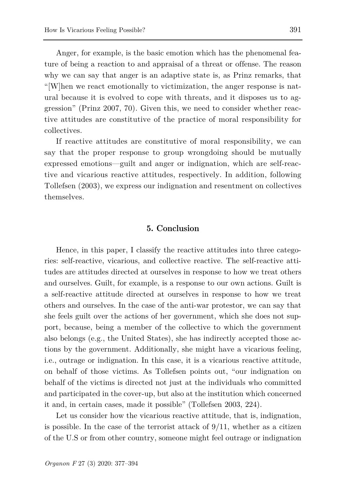Anger, for example, is the basic emotion which has the phenomenal feature of being a reaction to and appraisal of a threat or offense. The reason why we can say that anger is an adaptive state is, as Prinz remarks, that "[W]hen we react emotionally to victimization, the anger response is natural because it is evolved to cope with threats, and it disposes us to aggression" (Prinz 2007, 70). Given this, we need to consider whether reactive attitudes are constitutive of the practice of moral responsibility for collectives.

If reactive attitudes are constitutive of moral responsibility, we can say that the proper response to group wrongdoing should be mutually expressed emotions—guilt and anger or indignation, which are self-reactive and vicarious reactive attitudes, respectively. In addition, following Tollefsen (2003), we express our indignation and resentment on collectives themselves.

## **5. Conclusion**

Hence, in this paper, I classify the reactive attitudes into three categories: self-reactive, vicarious, and collective reactive. The self-reactive attitudes are attitudes directed at ourselves in response to how we treat others and ourselves. Guilt, for example, is a response to our own actions. Guilt is a self-reactive attitude directed at ourselves in response to how we treat others and ourselves. In the case of the anti-war protestor, we can say that she feels guilt over the actions of her government, which she does not support, because, being a member of the collective to which the government also belongs (e.g., the United States), she has indirectly accepted those actions by the government. Additionally, she might have a vicarious feeling, i.e., outrage or indignation. In this case, it is a vicarious reactive attitude, on behalf of those victims. As Tollefsen points out, "our indignation on behalf of the victims is directed not just at the individuals who committed and participated in the cover-up, but also at the institution which concerned it and, in certain cases, made it possible" (Tollefsen 2003, 224).

Let us consider how the vicarious reactive attitude, that is, indignation, is possible. In the case of the terrorist attack of  $9/11$ , whether as a citizen of the U.S or from other country, someone might feel outrage or indignation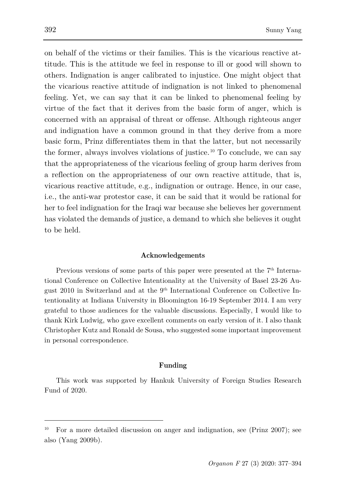on behalf of the victims or their families. This is the vicarious reactive attitude. This is the attitude we feel in response to ill or good will shown to others. Indignation is anger calibrated to injustice. One might object that the vicarious reactive attitude of indignation is not linked to phenomenal feeling. Yet, we can say that it can be linked to phenomenal feeling by virtue of the fact that it derives from the basic form of anger, which is concerned with an appraisal of threat or offense. Although righteous anger and indignation have a common ground in that they derive from a more basic form, Prinz differentiates them in that the latter, but not necessarily the former, always involves violations of justice.<sup>[10](#page-15-0)</sup> To conclude, we can say that the appropriateness of the vicarious feeling of group harm derives from a reflection on the appropriateness of our own reactive attitude, that is, vicarious reactive attitude, e.g., indignation or outrage. Hence, in our case, i.e., the anti-war protestor case, it can be said that it would be rational for her to feel indignation for the Iraqi war because she believes her government has violated the demands of justice, a demand to which she believes it ought to be held.

#### **Acknowledgements**

Previous versions of some parts of this paper were presented at the  $7<sup>th</sup>$  International Conference on Collective Intentionality at the University of Basel 23-26 August 2010 in Switzerland and at the 9th International Conference on Collective Intentionality at Indiana University in Bloomington 16-19 September 2014. I am very grateful to those audiences for the valuable discussions. Especially, I would like to thank Kirk Ludwig, who gave excellent comments on early version of it. I also thank Christopher Kutz and Ronald de Sousa, who suggested some important improvement in personal correspondence.

#### **Funding**

This work was supported by Hankuk University of Foreign Studies Research Fund of 2020.

<span id="page-15-0"></span><sup>10</sup> For a more detailed discussion on anger and indignation, see (Prinz 2007); see also (Yang 2009b).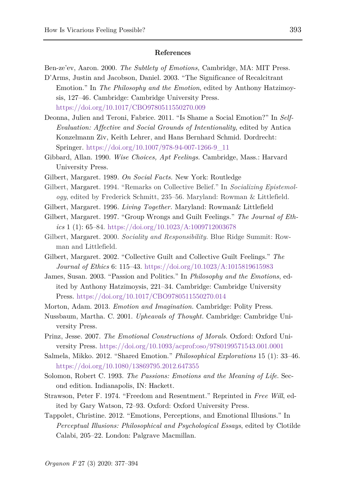#### **References**

Ben-ze'ev, Aaron. 2000. *The Subtlety of Emotions,* Cambridge, MA: MIT Press.

- D'Arms, Justin and Jacobson, Daniel. 2003. "The Significance of Recalcitrant Emotion." In *The Philosophy and the Emotion*, edited by Anthony Hatzimoysis, 127–46*.* Cambridge: Cambridge University Press. <https://doi.org/10.1017/CBO9780511550270.009>
- Deonna, Julien and Teroni, Fabrice. 2011. "Is Shame a Social Emotion?" In *Self-Evaluation: Affective and Social Grounds of Intentionality*, edited by Antica Konzelmann Ziv, Keith Lehrer, and Hans Bernhard Schmid. Dordrecht: Springer. [https://doi.org/10.1007/978-94-007-1266-9\\_11](https://doi.org/10.1007/978-94-007-1266-9_11)
- Gibbard, Allan. 1990. *Wise Choices, Apt Feelings.* Cambridge, Mass.: Harvard University Press.
- Gilbert, Margaret. 1989. *On Social Facts.* New York: Routledge
- Gilbert, Margaret. 1994. "Remarks on Collective Belief." In *Socializing Epistemology*, edited by Frederick Schmitt, 235–56. Maryland: Rowman & Littlefield.
- Gilbert, Margaret. 1996. *Living Together.* Maryland: Rowman& Littlefield
- Gilbert, Margaret. 1997. "Group Wrongs and Guilt Feelings." *The Journal of Ethics* 1 (1): 65–84. <https://doi.org/10.1023/A:1009712003678>
- Gilbert, Margaret. 2000. *Sociality and Responsibility.* Blue Ridge Summit: Rowman and Littlefield.
- Gilbert, Margaret. 2002. "Collective Guilt and Collective Guilt Feelings." *The Journal of Ethics* 6: 115–43. <https://doi.org/10.1023/A:1015819615983>
- James, Susan. 2003. "Passion and Politics." In *Philosophy and the Emotions*, edited by Anthony Hatzimoysis, 221–34. Cambridge: Cambridge University Press. <https://doi.org/10.1017/CBO9780511550270.014>
- Morton, Adam. 2013. *Emotion and Imagination.* Cambridge: Polity Press.
- Nussbaum, Martha. C. 2001. *Upheavals of Thought.* Cambridge: Cambridge University Press.
- Prinz, Jesse. 2007. *The Emotional Constructions of Morals*. Oxford: Oxford University Press. <https://doi.org/10.1093/acprof:oso/9780199571543.001.0001>
- Salmela, Mikko. 2012. "Shared Emotion." *Philosophical Explorations* 15 (1): 33–46. <https://doi.org/10.1080/13869795.2012.647355>
- Solomon, Robert C. 1993. *The Passions: Emotions and the Meaning of Life*. Second edition. Indianapolis, IN: Hackett.
- Strawson, Peter F. 1974. "Freedom and Resentment." Reprinted in *Free Will*, edited by Gary Watson, 72–93. Oxford: Oxford University Press.
- Tappolet, Christine. 2012. "Emotions, Perceptions, and Emotional Illusions." In *Perceptual Illusions: Philosophical and Psychological Essays*, edited by Clotilde Calabi, 205–22. London: Palgrave Macmillan.